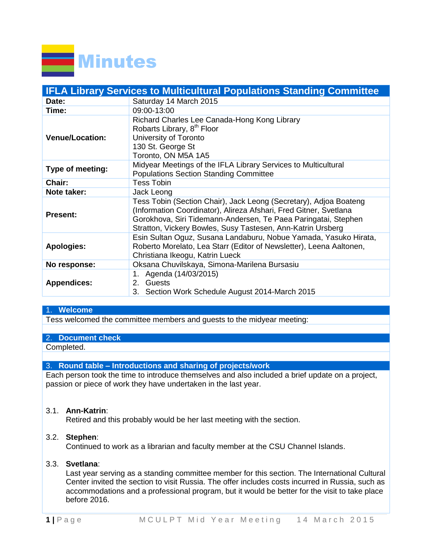

| <b>IFLA Library Services to Multicultural Populations Standing Committee</b> |                                                                                                                                                                                                                                                                         |  |  |  |
|------------------------------------------------------------------------------|-------------------------------------------------------------------------------------------------------------------------------------------------------------------------------------------------------------------------------------------------------------------------|--|--|--|
| Date:                                                                        | Saturday 14 March 2015                                                                                                                                                                                                                                                  |  |  |  |
| Time:                                                                        | 09:00-13:00                                                                                                                                                                                                                                                             |  |  |  |
| <b>Venue/Location:</b>                                                       | Richard Charles Lee Canada-Hong Kong Library<br>Robarts Library, 8 <sup>th</sup> Floor<br>University of Toronto<br>130 St. George St<br>Toronto, ON M5A 1A5                                                                                                             |  |  |  |
| Type of meeting:                                                             | Midyear Meetings of the IFLA Library Services to Multicultural<br><b>Populations Section Standing Committee</b>                                                                                                                                                         |  |  |  |
| <b>Chair:</b>                                                                | <b>Tess Tobin</b>                                                                                                                                                                                                                                                       |  |  |  |
| Note taker:                                                                  | Jack Leong                                                                                                                                                                                                                                                              |  |  |  |
| <b>Present:</b>                                                              | Tess Tobin (Section Chair), Jack Leong (Secretary), Adjoa Boateng<br>(Information Coordinator), Alireza Afshari, Fred Gitner, Svetlana<br>Gorokhova, Siri Tidemann-Andersen, Te Paea Paringatai, Stephen<br>Stratton, Vickery Bowles, Susy Tastesen, Ann-Katrin Ursberg |  |  |  |
| <b>Apologies:</b>                                                            | Esin Sultan Oguz, Susana Landaburu, Nobue Yamada, Yasuko Hirata,<br>Roberto Morelato, Lea Starr (Editor of Newsletter), Leena Aaltonen,<br>Christiana Ikeogu, Katrin Lueck                                                                                              |  |  |  |
| No response:                                                                 | Oksana Chuvilskaya, Simona-Marilena Bursasiu                                                                                                                                                                                                                            |  |  |  |
| <b>Appendices:</b>                                                           | 1. Agenda (14/03/2015)<br>2. Guests<br>3. Section Work Schedule August 2014-March 2015                                                                                                                                                                                  |  |  |  |

# 1. **Welcome**

Tess welcomed the committee members and guests to the midyear meeting:

#### 2. **Document check**

Completed.

## 3. **Round table – Introductions and sharing of projects/work**

Each person took the time to introduce themselves and also included a brief update on a project, passion or piece of work they have undertaken in the last year.

## 3.1. **Ann-Katrin**:

Retired and this probably would be her last meeting with the section.

## 3.2. **Stephen**:

Continued to work as a librarian and faculty member at the CSU Channel Islands.

#### 3.3. **Svetlana**:

Last year serving as a standing committee member for this section. The International Cultural Center invited the section to visit Russia. The offer includes costs incurred in Russia, such as accommodations and a professional program, but it would be better for the visit to take place before 2016.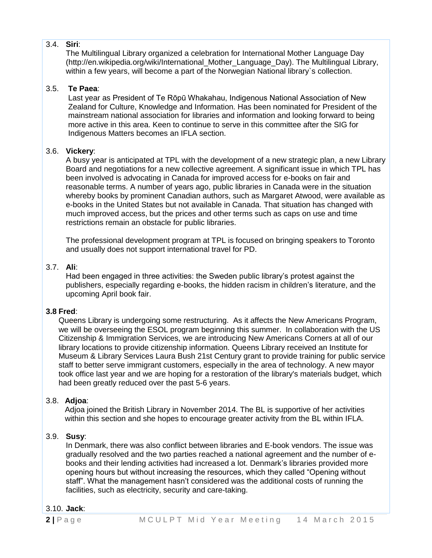# 3.4. **Siri**:

The Multilingual Library organized a celebration for International Mother Language Day (http://en.wikipedia.org/wiki/International\_Mother\_Language\_Day). The Multilingual Library, within a few years, will become a part of the Norwegian National library`s collection.

# 3.5. **Te Paea**:

Last year as President of Te Rōpū Whakahau, Indigenous National Association of New Zealand for Culture, Knowledge and Information. Has been nominated for President of the mainstream national association for libraries and information and looking forward to being more active in this area. Keen to continue to serve in this committee after the SIG for Indigenous Matters becomes an IFLA section.

# 3.6. **Vickery**:

A busy year is anticipated at TPL with the development of a new strategic plan, a new Library Board and negotiations for a new collective agreement. A significant issue in which TPL has been involved is advocating in Canada for improved access for e-books on fair and reasonable terms. A number of years ago, public libraries in Canada were in the situation whereby books by prominent Canadian authors, such as Margaret Atwood, were available as e-books in the United States but not available in Canada. That situation has changed with much improved access, but the prices and other terms such as caps on use and time restrictions remain an obstacle for public libraries.

The professional development program at TPL is focused on bringing speakers to Toronto and usually does not support international travel for PD.

# 3.7. **Ali**:

Had been engaged in three activities: the Sweden public library's protest against the publishers, especially regarding e-books, the hidden racism in children's literature, and the upcoming April book fair.

## **3.8 Fred**:

Queens Library is undergoing some restructuring. As it affects the New Americans Program, we will be overseeing the ESOL program beginning this summer. In collaboration with the US Citizenship & Immigration Services, we are introducing New Americans Corners at all of our library locations to provide citizenship information. Queens Library received an Institute for Museum & Library Services Laura Bush 21st Century grant to provide training for public service staff to better serve immigrant customers, especially in the area of technology. A new mayor took office last year and we are hoping for a restoration of the library's materials budget, which had been greatly reduced over the past 5-6 years.

## 3.8. **Adjoa**:

Adjoa joined the British Library in November 2014. The BL is supportive of her activities within this section and she hopes to encourage greater activity from the BL within IFLA.

# 3.9. **Susy**:

In Denmark, there was also conflict between libraries and E-book vendors. The issue was gradually resolved and the two parties reached a national agreement and the number of ebooks and their lending activities had increased a lot. Denmark's libraries provided more opening hours but without increasing the resources, which they called "Opening without staff". What the management hasn't considered was the additional costs of running the facilities, such as electricity, security and care-taking.

## 3.10. **Jack**: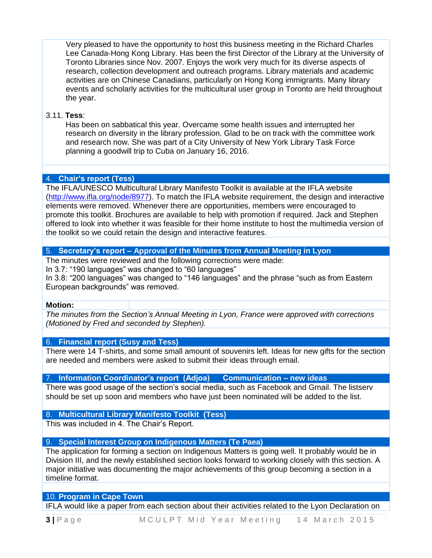Very pleased to have the opportunity to host this business meeting in the Richard Charles Lee Canada-Hong Kong Library. Has been the first Director of the Library at the University of Toronto Libraries since Nov. 2007. Enjoys the work very much for its diverse aspects of research, collection development and outreach programs. Library materials and academic activities are on Chinese Canadians, particularly on Hong Kong immigrants. Many library events and scholarly activities for the multicultural user group in Toronto are held throughout the year.

## 3.11. **Tess**:

Has been on sabbatical this year. Overcame some health issues and interrupted her research on diversity in the library profession. Glad to be on track with the committee work and research now. She was part of a City University of New York Library Task Force planning a goodwill trip to Cuba on January 16, 2016.

# 4. **Chair's report (Tess)**

The IFLA/UNESCO Multicultural Library Manifesto Toolkit is available at the IFLA website [\(http://www.ifla.org/node/8977\)](http://www.ifla.org/node/8977). To match the IFLA website requirement, the design and interactive elements were removed. Whenever there are opportunities, members were encouraged to promote this toolkit. Brochures are available to help with promotion if required. Jack and Stephen offered to look into whether it was feasible for their home institute to host the multimedia version of the toolkit so we could retain the design and interactive features.

## 5. **Secretary's report – Approval of the Minutes from Annual Meeting in Lyon**

The minutes were reviewed and the following corrections were made:

In 3.7: "190 languages" was changed to "60 languages"

In 3.8: "200 languages" was changed to "146 languages" and the phrase "such as from Eastern European backgrounds" was removed.

#### **Motion:**

*The minutes from the Section's Annual Meeting in Lyon, France were approved with corrections (Motioned by Fred and seconded by Stephen).*

## 6. **Financial report (Susy and Tess)**

There were 14 T-shirts, and some small amount of souvenirs left. Ideas for new gifts for the section are needed and members were asked to submit their ideas through email.

## 7. **Information Coordinator's report (Adjoa) Communication – new ideas**

There was good usage of the section's social media, such as Facebook and Gmail. The listserv should be set up soon and members who have just been nominated will be added to the list.

## 8. **Multicultural Library Manifesto Toolkit (Tess)**

This was included in 4. The Chair's Report.

# 9. **Special Interest Group on Indigenous Matters (Te Paea)**

The application for forming a section on Indigenous Matters is going well. It probably would be in Division III, and the newly established section looks forward to working closely with this section. A major initiative was documenting the major achievements of this group becoming a section in a timeline format.

## 10. **Program in Cape Town**

IFLA would like a paper from each section about their activities related to the Lyon Declaration on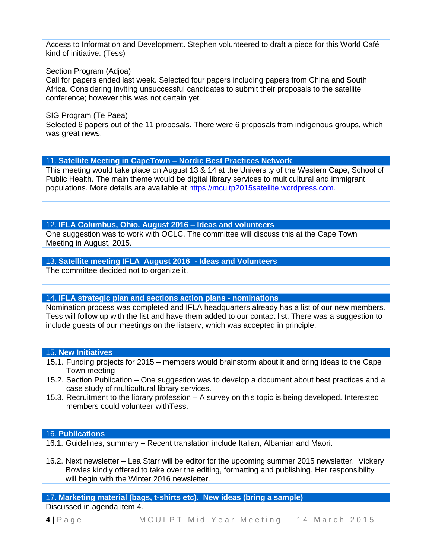Access to Information and Development. Stephen volunteered to draft a piece for this World Café kind of initiative. (Tess)

#### Section Program (Adjoa)

Call for papers ended last week. Selected four papers including papers from China and South Africa. Considering inviting unsuccessful candidates to submit their proposals to the satellite conference; however this was not certain yet.

#### SIG Program (Te Paea)

Selected 6 papers out of the 11 proposals. There were 6 proposals from indigenous groups, which was great news.

#### 11. **Satellite Meeting in CapeTown – Nordic Best Practices Network**

This meeting would take place on August 13 & 14 at the University of the Western Cape, School of Public Health. The main theme would be digital library services to multicultural and immigrant populations. More details are available at [https://mcultp2015satellite.wordpress.com.](https://mcultp2015satellite.wordpress.com/)

#### 12. **IFLA Columbus, Ohio. August 2016 – Ideas and volunteers**

One suggestion was to work with OCLC. The committee will discuss this at the Cape Town Meeting in August, 2015.

# 13. **Satellite meeting IFLA August 2016 - Ideas and Volunteers**

The committee decided not to organize it.

## 14. **IFLA strategic plan and sections action plans - nominations**

Nomination process was completed and IFLA headquarters already has a list of our new members. Tess will follow up with the list and have them added to our contact list. There was a suggestion to include guests of our meetings on the listserv, which was accepted in principle.

#### 15. **New Initiatives**

- 15.1. Funding projects for 2015 members would brainstorm about it and bring ideas to the Cape Town meeting
- 15.2. Section Publication One suggestion was to develop a document about best practices and a case study of multicultural library services.
- 15.3. Recruitment to the library profession A survey on this topic is being developed. Interested members could volunteer withTess.

#### 16. **Publications**

- 16.1. Guidelines, summary Recent translation include Italian, Albanian and Maori.
- 16.2. Next newsletter Lea Starr will be editor for the upcoming summer 2015 newsletter. Vickery Bowles kindly offered to take over the editing, formatting and publishing. Her responsibility will begin with the Winter 2016 newsletter.

#### 17. **Marketing material (bags, t-shirts etc). New ideas (bring a sample)** Discussed in agenda item 4.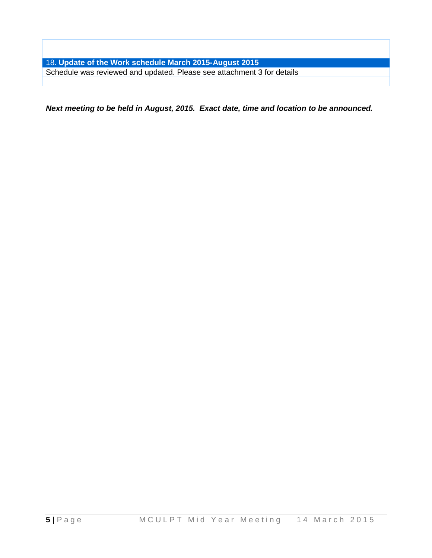18. **Update of the Work schedule March 2015-August 2015**  Schedule was reviewed and updated. Please see attachment 3 for details

*Next meeting to be held in August, 2015. Exact date, time and location to be announced.*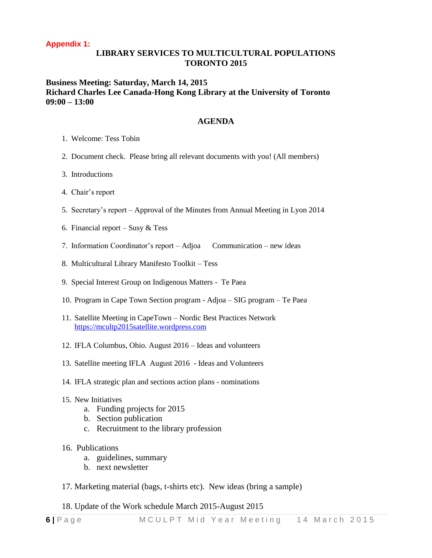## **Appendix 1:**

# **LIBRARY SERVICES TO MULTICULTURAL POPULATIONS TORONTO 2015**

# **Business Meeting: Saturday, March 14, 2015 Richard Charles Lee Canada-Hong Kong Library at the University of Toronto 09:00 – 13:00**

#### **AGENDA**

- 1. Welcome: Tess Tobin
- 2. Document check. Please bring all relevant documents with you! (All members)
- 3. Introductions
- 4. Chair's report
- 5. Secretary's report Approval of the Minutes from Annual Meeting in Lyon 2014
- 6. Financial report Susy  $&$  Tess
- 7. Information Coordinator's report Adjoa Communication new ideas
- 8. Multicultural Library Manifesto Toolkit Tess
- 9. Special Interest Group on Indigenous Matters Te Paea
- 10. Program in Cape Town Section program Adjoa SIG program Te Paea
- 11. Satellite Meeting in CapeTown Nordic Best Practices Network [https://mcultp2015satellite.wordpress.com](https://mcultp2015satellite.wordpress.com/)
- 12. IFLA Columbus, Ohio. August 2016 Ideas and volunteers
- 13. Satellite meeting IFLA August 2016 Ideas and Volunteers
- 14. IFLA strategic plan and sections action plans nominations
- 15. New Initiatives
	- a. Funding projects for 2015
	- b. Section publication
	- c. Recruitment to the library profession
- 16. Publications
	- a. guidelines, summary
	- b. next newsletter
- 17. Marketing material (bags, t-shirts etc). New ideas (bring a sample)
- 18. Update of the Work schedule March 2015-August 2015